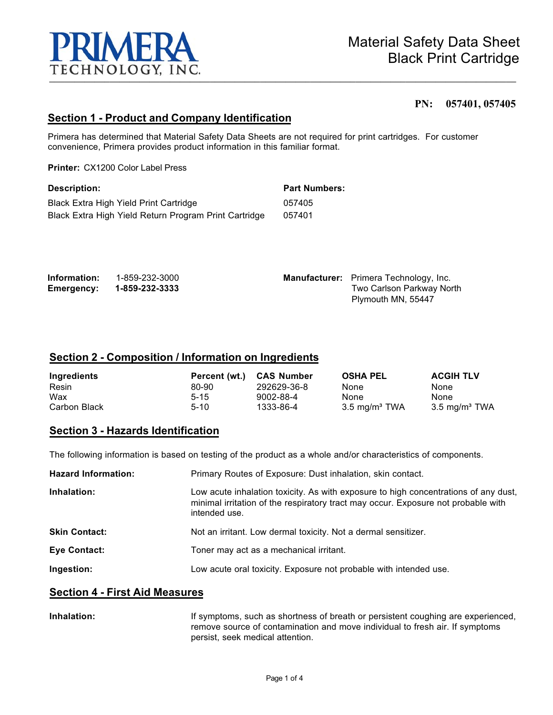

#### **PN: 057401, 057405**

### **Section 1 - Product and Company Identification**

Primera has determined that Material Safety Data Sheets are not required for print cartridges. For customer convenience, Primera provides product information in this familiar format.

**Printer:** CX1200 Color Label Press

| <b>Description:</b>                                   | <b>Part Numbers:</b> |
|-------------------------------------------------------|----------------------|
| Black Extra High Yield Print Cartridge                | 057405               |
| Black Extra High Yield Return Program Print Cartridge | 057401               |

| Information:      | 1-859-232-3000 | <b>Manufacturer:</b> Primera Technology, Inc. |
|-------------------|----------------|-----------------------------------------------|
| <b>Emergency:</b> | 1-859-232-3333 | Two Carlson Parkway North                     |
|                   |                | Plymouth MN, 55447                            |

#### **Section 2 - Composition / Information on Ingredients**

| Ingredients  | Percent (wt.) | <b>CAS Number</b> | <b>OSHA PEL</b>          | <b>ACGIH TLV</b>         |
|--------------|---------------|-------------------|--------------------------|--------------------------|
| Resin        | 80-90         | 292629-36-8       | None                     | None                     |
| Wax          | $5 - 15$      | 9002-88-4         | None                     | None                     |
| Carbon Black | $5-10$        | 1333-86-4         | $3.5 \text{ mg/m}^3$ TWA | $3.5 \text{ mg/m}^3$ TWA |

### **Section 3 - Hazards Identification**

The following information is based on testing of the product as a whole and/or characteristics of components.

| <b>Hazard Information:</b> | Primary Routes of Exposure: Dust inhalation, skin contact.                                                                                                                                |
|----------------------------|-------------------------------------------------------------------------------------------------------------------------------------------------------------------------------------------|
| Inhalation:                | Low acute inhalation toxicity. As with exposure to high concentrations of any dust,<br>minimal irritation of the respiratory tract may occur. Exposure not probable with<br>intended use. |
| <b>Skin Contact:</b>       | Not an irritant. Low dermal toxicity. Not a dermal sensitizer.                                                                                                                            |
| Eye Contact:               | Toner may act as a mechanical irritant.                                                                                                                                                   |
| Ingestion:                 | Low acute oral toxicity. Exposure not probable with intended use.                                                                                                                         |

### **Section 4 - First Aid Measures**

**Inhalation:** If symptoms, such as shortness of breath or persistent coughing are experienced, remove source of contamination and move individual to fresh air. If symptoms persist, seek medical attention.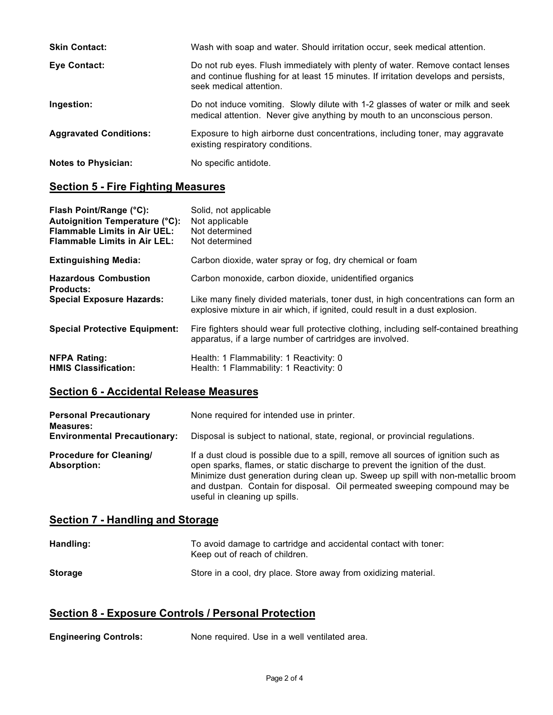| <b>Skin Contact:</b>          | Wash with soap and water. Should irritation occur, seek medical attention.                                                                                                                       |
|-------------------------------|--------------------------------------------------------------------------------------------------------------------------------------------------------------------------------------------------|
| <b>Eye Contact:</b>           | Do not rub eyes. Flush immediately with plenty of water. Remove contact lenses<br>and continue flushing for at least 15 minutes. If irritation develops and persists,<br>seek medical attention. |
| Ingestion:                    | Do not induce vomiting. Slowly dilute with 1-2 glasses of water or milk and seek<br>medical attention. Never give anything by mouth to an unconscious person.                                    |
| <b>Aggravated Conditions:</b> | Exposure to high airborne dust concentrations, including toner, may aggravate<br>existing respiratory conditions.                                                                                |
| <b>Notes to Physician:</b>    | No specific antidote.                                                                                                                                                                            |

## **Section 5 - Fire Fighting Measures**

| Flash Point/Range (°C):<br>Autoignition Temperature (°C):<br><b>Flammable Limits in Air UEL:</b><br><b>Flammable Limits in Air LEL:</b> | Solid, not applicable<br>Not applicable<br>Not determined<br>Not determined                                                                                         |
|-----------------------------------------------------------------------------------------------------------------------------------------|---------------------------------------------------------------------------------------------------------------------------------------------------------------------|
| <b>Extinguishing Media:</b>                                                                                                             | Carbon dioxide, water spray or fog, dry chemical or foam                                                                                                            |
| <b>Hazardous Combustion</b><br><b>Products:</b>                                                                                         | Carbon monoxide, carbon dioxide, unidentified organics                                                                                                              |
| <b>Special Exposure Hazards:</b>                                                                                                        | Like many finely divided materials, toner dust, in high concentrations can form an<br>explosive mixture in air which, if ignited, could result in a dust explosion. |
| <b>Special Protective Equipment:</b>                                                                                                    | Fire fighters should wear full protective clothing, including self-contained breathing<br>apparatus, if a large number of cartridges are involved.                  |
| <b>NFPA Rating:</b><br><b>HMIS Classification:</b>                                                                                      | Health: 1 Flammability: 1 Reactivity: 0<br>Health: 1 Flammability: 1 Reactivity: 0                                                                                  |

# **Section 6 - Accidental Release Measures**

| <b>Personal Precautionary</b><br><b>Measures:</b>    | None required for intended use in printer.                                                                                                                                                                                                                                                                                                                            |  |
|------------------------------------------------------|-----------------------------------------------------------------------------------------------------------------------------------------------------------------------------------------------------------------------------------------------------------------------------------------------------------------------------------------------------------------------|--|
| <b>Environmental Precautionary:</b>                  | Disposal is subject to national, state, regional, or provincial regulations.                                                                                                                                                                                                                                                                                          |  |
| <b>Procedure for Cleaning/</b><br><b>Absorption:</b> | If a dust cloud is possible due to a spill, remove all sources of ignition such as<br>open sparks, flames, or static discharge to prevent the ignition of the dust.<br>Minimize dust generation during clean up. Sweep up spill with non-metallic broom<br>and dustpan. Contain for disposal. Oil permeated sweeping compound may be<br>useful in cleaning up spills. |  |

## **Section 7 - Handling and Storage**

| Handling:      | To avoid damage to cartridge and accidental contact with toner:<br>Keep out of reach of children. |
|----------------|---------------------------------------------------------------------------------------------------|
| <b>Storage</b> | Store in a cool, dry place. Store away from oxidizing material.                                   |

## **Section 8 - Exposure Controls / Personal Protection**

| <b>Engineering Controls:</b><br>None required. Use in a well ventilated area. |
|-------------------------------------------------------------------------------|
|-------------------------------------------------------------------------------|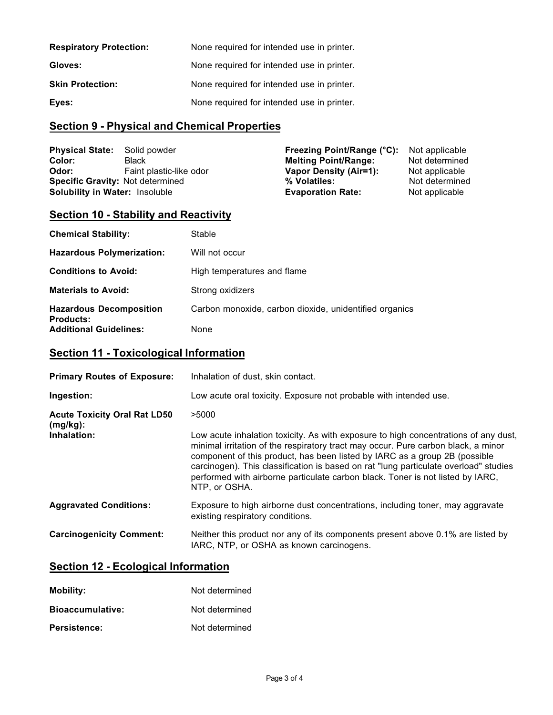| <b>Respiratory Protection:</b> | None required for intended use in printer. |
|--------------------------------|--------------------------------------------|
| Gloves:                        | None required for intended use in printer. |
| <b>Skin Protection:</b>        | None required for intended use in printer. |
| Eyes:                          | None required for intended use in printer. |

# **Section 9 - Physical and Chemical Properties**

| <b>Physical State:</b>                  | Solid powder            | Freezing Point/Range (°C):  | Not applicable |
|-----------------------------------------|-------------------------|-----------------------------|----------------|
| Color:                                  | Black                   | <b>Melting Point/Range:</b> | Not determined |
| Odor:                                   | Faint plastic-like odor | Vapor Density (Air=1):      | Not applicable |
| <b>Specific Gravity: Not determined</b> |                         | % Volatiles:                | Not determined |
| Solubility in Water: Insoluble          |                         | <b>Evaporation Rate:</b>    | Not applicable |

# **Section 10 - Stability and Reactivity**

| <b>Chemical Stability:</b>                         | Stable                                                 |
|----------------------------------------------------|--------------------------------------------------------|
| <b>Hazardous Polymerization:</b>                   | Will not occur                                         |
| <b>Conditions to Avoid:</b>                        | High temperatures and flame                            |
| <b>Materials to Avoid:</b>                         | Strong oxidizers                                       |
| <b>Hazardous Decomposition</b><br><b>Products:</b> | Carbon monoxide, carbon dioxide, unidentified organics |
| <b>Additional Guidelines:</b>                      | None                                                   |

## **Section 11 - Toxicological Information**

| <b>Primary Routes of Exposure:</b>              | Inhalation of dust, skin contact.                                                                                                                                                                                                                                                                                                                                                                                                                 |
|-------------------------------------------------|---------------------------------------------------------------------------------------------------------------------------------------------------------------------------------------------------------------------------------------------------------------------------------------------------------------------------------------------------------------------------------------------------------------------------------------------------|
| Ingestion:                                      | Low acute oral toxicity. Exposure not probable with intended use.                                                                                                                                                                                                                                                                                                                                                                                 |
| <b>Acute Toxicity Oral Rat LD50</b><br>(mg/kg): | >5000                                                                                                                                                                                                                                                                                                                                                                                                                                             |
| Inhalation:                                     | Low acute inhalation toxicity. As with exposure to high concentrations of any dust,<br>minimal irritation of the respiratory tract may occur. Pure carbon black, a minor<br>component of this product, has been listed by IARC as a group 2B (possible<br>carcinogen). This classification is based on rat "lung particulate overload" studies<br>performed with airborne particulate carbon black. Toner is not listed by IARC,<br>NTP. or OSHA. |
| <b>Aggravated Conditions:</b>                   | Exposure to high airborne dust concentrations, including toner, may aggravate<br>existing respiratory conditions.                                                                                                                                                                                                                                                                                                                                 |
| <b>Carcinogenicity Comment:</b>                 | Neither this product nor any of its components present above 0.1% are listed by<br>IARC, NTP, or OSHA as known carcinogens.                                                                                                                                                                                                                                                                                                                       |

## **Section 12 - Ecological Information**

| Mobility:               | Not determined |
|-------------------------|----------------|
| <b>Bioaccumulative:</b> | Not determined |
| <b>Persistence:</b>     | Not determined |